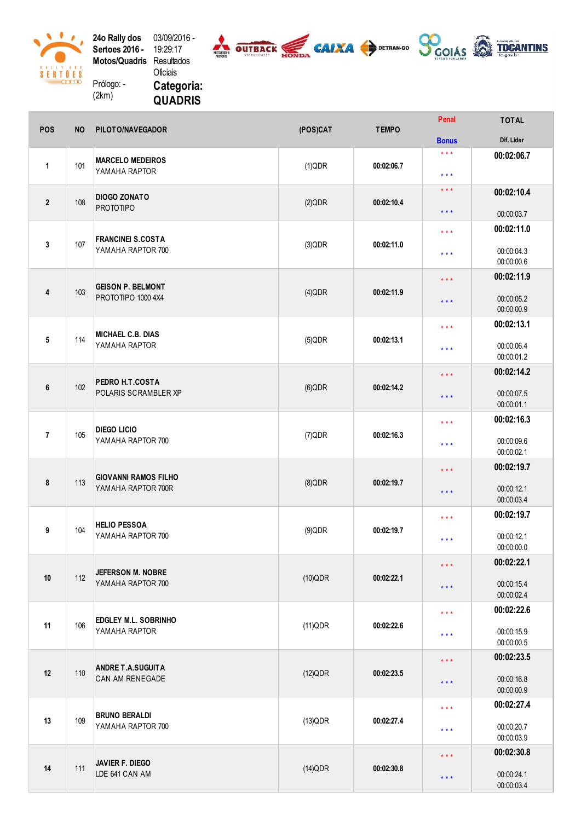24o Rally dos Sertoes 2016 -Motos/Quadris Prólogo: -03/09/2016 -1 9:2 9:1 7 **Resultados** O ficiais

( 2 k m )

 $\mathcal{L}$ 

 $\begin{array}{c}\n 8 & 1 & 1 & 1 & 1 & 1 & 1 & 1 \\
8 & 1 & 1 & 1 & 1 & 1 & 1 & 1 \\
\hline\n 1 & 1 & 1 & 1 & 1 & 1 & 1 \\
\hline\n 1 & 1 & 1 & 1 & 1 & 1 & 1 \\
\hline\n 1 & 1 & 1 & 1 & 1 & 1 & 1 \\
\hline\n 1 & 1 & 1 & 1 & 1 & 1 & 1 \\
\hline\n 1 & 1 & 1 & 1 & 1 & 1 & 1 \\
\hline\n 1 & 1 & 1 & 1 & 1 & 1 & 1 \\
\hline\n 1 & 1 & 1 &$ 



Categoria: QUADRIS

| POS            | <b>NO</b> | PILOTO/NAVEGADOR                                  | (POS)CAT   | <b>TEMPO</b> | Penal                        | <b>TOTAL</b>                           |
|----------------|-----------|---------------------------------------------------|------------|--------------|------------------------------|----------------------------------------|
|                |           |                                                   |            |              | <b>Bonus</b>                 | Dif. Lider                             |
| $\mathbf{1}$   | 101       | <b>MARCELO MEDEIROS</b><br>YAMAHA RAPTOR          | (1)QDR     | 00:02:06.7   | $\star \star \star$<br>$***$ | 00:02:06.7                             |
| $\overline{2}$ | 108       | <b>DIOGO ZONATO</b><br><b>PROTOTIPO</b>           | (2)QDR     | 00:02:10.4   | $\star \star \star$          | 00:02:10.4                             |
|                |           |                                                   |            |              | $***$                        | 00:00:03.7                             |
| 3              | 107       | <b>FRANCINEI S.COSTA</b><br>YAMAHA RAPTOR 700     | (3)QDR     | 00:02:11.0   | $***$<br>$***$               | 00:02:11.0<br>00:00:04.3<br>00:00:00.6 |
|                |           |                                                   |            |              |                              | 00:02:11.9                             |
| 4              | 103       | <b>GEISON P. BELMONT</b><br>PROTOTIPO 1000 4X4    | $(4)$ QDR  | 00:02:11.9   | $***$<br>$***$               | 00:00:05.2<br>00:00:00.9               |
|                |           |                                                   |            |              | $***$                        | 00:02:13.1                             |
| 5              | 114       | <b>MICHAEL C.B. DIAS</b><br>YAMAHA RAPTOR         | $(5)$ QDR  | 00:02:13.1   | $***$                        | 00:00:06.4<br>00:00:01.2               |
|                |           |                                                   |            |              | $***$                        | 00:02:14.2                             |
| 6              | 102       | PEDRO H.T.COSTA<br>POLARIS SCRAMBLER XP           | $(6)$ QDR  | 00:02:14.2   | $***$                        | 00:00:07.5<br>00:00:01.1               |
|                |           |                                                   |            |              | $***$                        | 00:02:16.3                             |
| $\overline{7}$ | 105       | DIEGO LICIO<br>YAMAHA RAPTOR 700                  | (7)QDR     | 00:02:16.3   | $***$                        | 00:00:09.6<br>00:00:02.1               |
|                |           |                                                   |            |              | $***$                        | 00:02:19.7                             |
| 8              | 113       | <b>GIOVANNI RAMOS FILHO</b><br>YAMAHA RAPTOR 700R | $(8)$ QDR  | 00:02:19.7   | $***$                        | 00:00:12.1<br>00:00:03.4               |
|                |           |                                                   |            |              | $***$                        | 00:02:19.7                             |
| 9              | 104       | <b>HELIO PESSOA</b><br>YAMAHA RAPTOR 700          | $(9)$ QDR  | 00:02:19.7   | $***$                        | 00:00:12.1<br>00:00:00.0               |
|                |           |                                                   |            |              | $***$                        | 00:02:22.1                             |
| 10             | 112       | <b>JEFERSON M. NOBRE</b><br>YAMAHA RAPTOR 700     | $(10)$ QDR | 00:02:22.1   | $***$                        | 00:00:15.4<br>00:00:02.4               |
|                |           |                                                   |            |              | $***$                        | 00:02:22.6                             |
| 11             | 106       | <b>EDGLEY M.L. SOBRINHO</b><br>YAMAHA RAPTOR      | (11)QDR    | 00:02:22.6   | $***$                        | 00:00:15.9<br>00:00:00.5               |
|                |           |                                                   |            |              | $***$                        | 00:02:23.5                             |
| 12             | 110       | <b>ANDRE T.A.SUGUITA</b><br>CAN AM RENEGADE       | (12)QDR    | 00:02:23.5   | $***$                        | 00:00:16.8<br>00:00:00.9               |
|                |           |                                                   |            |              | $***$                        | 00:02:27.4                             |
| 13             | 109       | <b>BRUNO BERALDI</b><br>YAMAHA RAPTOR 700         | $(13)$ QDR | 00:02:27.4   | $***$                        | 00:00:20.7<br>00:00:03.9               |
|                |           |                                                   |            |              | $***$                        | 00:02:30.8                             |
| 14             | 111       | JAVIER F. DIEGO<br>LDE 641 CAN AM                 | $(14)$ QDR | 00:02:30.8   | $***$                        | 00:00:24.1<br>00:00:03.4               |